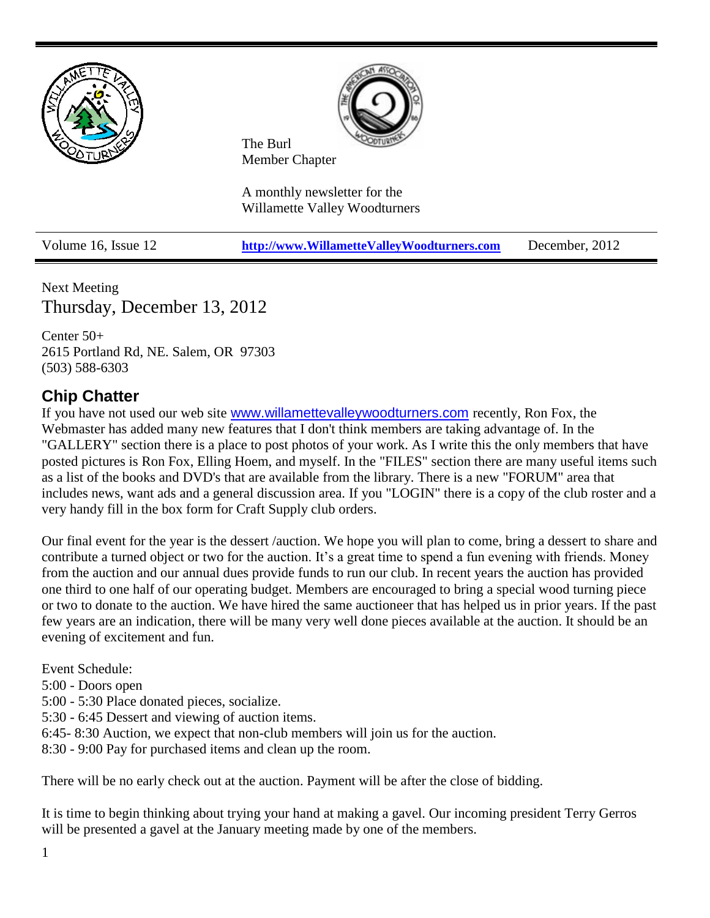

Volume 16, Issue 12 **[http://www.WillametteValleyWoodturners.com](http://www.willamettevalleywoodturners.com/)** December, 2012

Next Meeting Thursday, December 13, 2012

Center 50+ 2615 Portland Rd, NE. Salem, OR 97303 (503) 588-6303

### **Chip Chatter**

If you have not used our web site [www.willamettevalleywoodturners.com](http://www.willamettevalleywoodturners.com/) recently, Ron Fox, the Webmaster has added many new features that I don't think members are taking advantage of. In the "GALLERY" section there is a place to post photos of your work. As I write this the only members that have posted pictures is Ron Fox, Elling Hoem, and myself. In the "FILES" section there are many useful items such as a list of the books and DVD's that are available from the library. There is a new "FORUM" area that includes news, want ads and a general discussion area. If you "LOGIN" there is a copy of the club roster and a very handy fill in the box form for Craft Supply club orders.

Our final event for the year is the dessert /auction. We hope you will plan to come, bring a dessert to share and contribute a turned object or two for the auction. It's a great time to spend a fun evening with friends. Money from the auction and our annual dues provide funds to run our club. In recent years the auction has provided one third to one half of our operating budget. Members are encouraged to bring a special wood turning piece or two to donate to the auction. We have hired the same auctioneer that has helped us in prior years. If the past few years are an indication, there will be many very well done pieces available at the auction. It should be an evening of excitement and fun.

Event Schedule:

- 5:00 Doors open
- 5:00 5:30 Place donated pieces, socialize.
- 5:30 6:45 Dessert and viewing of auction items.
- 6:45- 8:30 Auction, we expect that non-club members will join us for the auction.
- 8:30 9:00 Pay for purchased items and clean up the room.

There will be no early check out at the auction. Payment will be after the close of bidding.

It is time to begin thinking about trying your hand at making a gavel. Our incoming president Terry Gerros will be presented a gavel at the January meeting made by one of the members.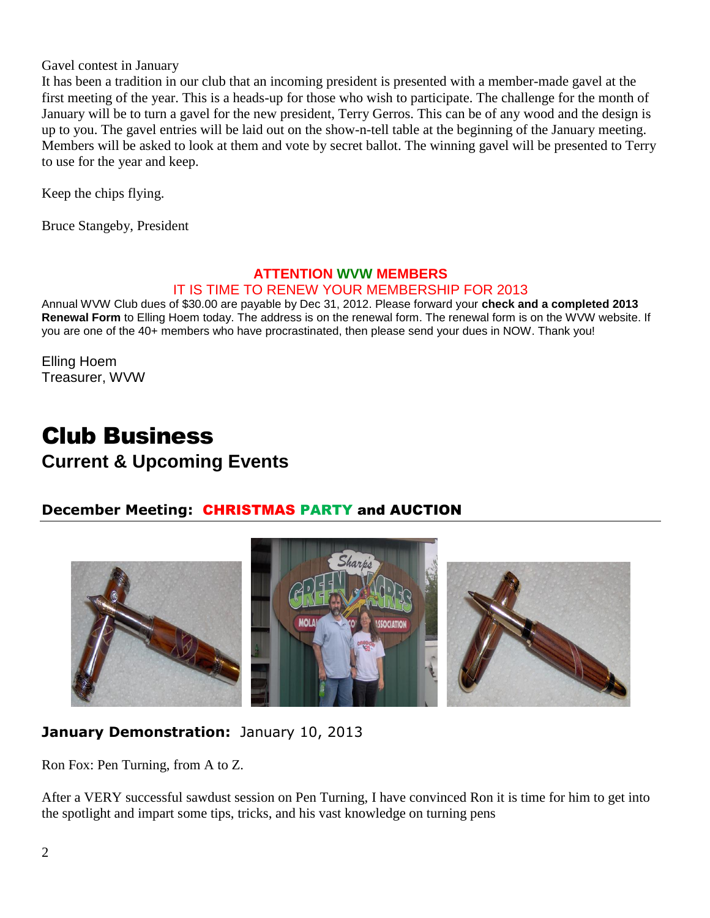Gavel contest in January

It has been a tradition in our club that an incoming president is presented with a member-made gavel at the first meeting of the year. This is a heads-up for those who wish to participate. The challenge for the month of January will be to turn a gavel for the new president, Terry Gerros. This can be of any wood and the design is up to you. The gavel entries will be laid out on the show-n-tell table at the beginning of the January meeting. Members will be asked to look at them and vote by secret ballot. The winning gavel will be presented to Terry to use for the year and keep.

Keep the chips flying.

Bruce Stangeby, President

#### **ATTENTION WVW MEMBERS** IT IS TIME TO RENEW YOUR MEMBERSHIP FOR 2013

Annual WVW Club dues of \$30.00 are payable by Dec 31, 2012. Please forward your **check and a completed 2013 Renewal Form** to Elling Hoem today. The address is on the renewal form. The renewal form is on the WVW website. If you are one of the 40+ members who have procrastinated, then please send your dues in NOW. Thank you!

Elling Hoem Treasurer, WVW

## Club Business **Current & Upcoming Events**

#### **December Meeting:** CHRISTMAS PARTY and AUCTION



#### **January Demonstration:** January 10, 2013

Ron Fox: Pen Turning, from A to Z.

After a VERY successful sawdust session on Pen Turning, I have convinced Ron it is time for him to get into the spotlight and impart some tips, tricks, and his vast knowledge on turning pens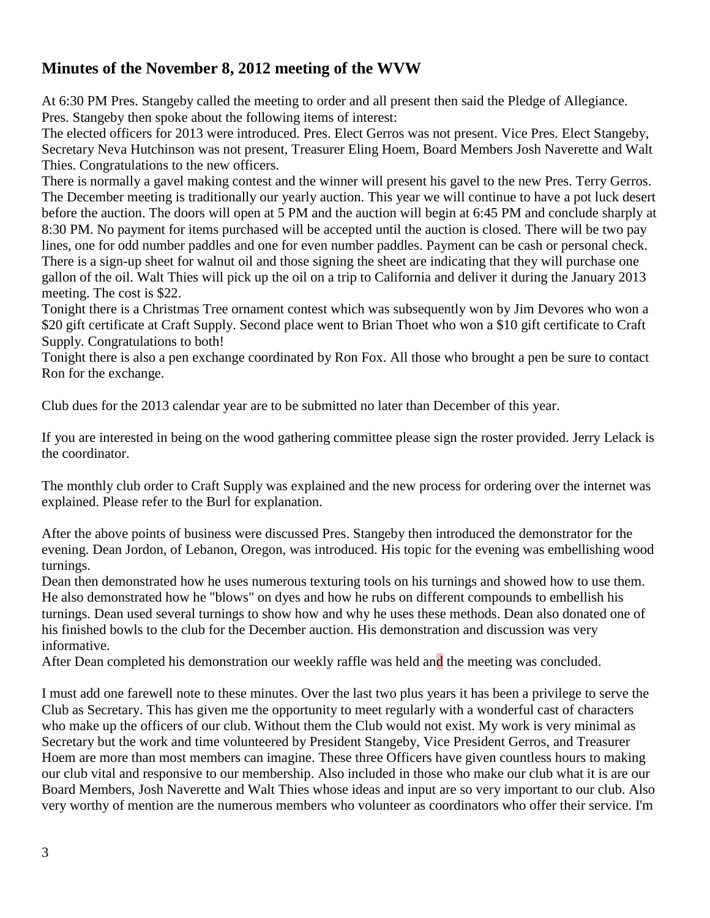#### **Minutes of the November 8, 2012 meeting of the WVW**

At 6:30 PM Pres. Stangeby called the meeting to order and all present then said the Pledge of Allegiance. Pres. Stangeby then spoke about the following items of interest:

The elected officers for 2013 were introduced. Pres. Elect Gerros was not present. Vice Pres. Elect Stangeby, Secretary Neva Hutchinson was not present, Treasurer Eling Hoem, Board Members Josh Naverette and Walt Thies. Congratulations to the new officers.

There is normally a gavel making contest and the winner will present his gavel to the new Pres. Terry Gerros. The December meeting is traditionally our yearly auction. This year we will continue to have a pot luck desert before the auction. The doors will open at 5 PM and the auction will begin at 6:45 PM and conclude sharply at 8:30 PM. No payment for items purchased will be accepted until the auction is closed. There will be two pay lines, one for odd number paddles and one for even number paddles. Payment can be cash or personal check. There is a sign-up sheet for walnut oil and those signing the sheet are indicating that they will purchase one gallon of the oil. Walt Thies will pick up the oil on a trip to California and deliver it during the January 2013 meeting. The cost is \$22.

Tonight there is a Christmas Tree ornament contest which was subsequently won by Jim Devores who won a \$20 gift certificate at Craft Supply. Second place went to Brian Thoet who won a \$10 gift certificate to Craft Supply. Congratulations to both!

Tonight there is also a pen exchange coordinated by Ron Fox. All those who brought a pen be sure to contact Ron for the exchange.

Club dues for the 2013 calendar year are to be submitted no later than December of this year.

If you are interested in being on the wood gathering committee please sign the roster provided. Jerry Lelack is the coordinator.

The monthly club order to Craft Supply was explained and the new process for ordering over the internet was explained. Please refer to the Burl for explanation.

After the above points of business were discussed Pres. Stangeby then introduced the demonstrator for the evening. Dean Jordon, of Lebanon, Oregon, was introduced. His topic for the evening was embellishing wood turnings.

Dean then demonstrated how he uses numerous texturing tools on his turnings and showed how to use them. He also demonstrated how he "blows" on dyes and how he rubs on different compounds to embellish his turnings. Dean used several turnings to show how and why he uses these methods. Dean also donated one of his finished bowls to the club for the December auction. His demonstration and discussion was very informative.

After Dean completed his demonstration our weekly raffle was held and the meeting was concluded.

I must add one farewell note to these minutes. Over the last two plus years it has been a privilege to serve the Club as Secretary. This has given me the opportunity to meet regularly with a wonderful cast of characters who make up the officers of our club. Without them the Club would not exist. My work is very minimal as Secretary but the work and time volunteered by President Stangeby, Vice President Gerros, and Treasurer Hoem are more than most members can imagine. These three Officers have given countless hours to making our club vital and responsive to our membership. Also included in those who make our club what it is are our Board Members, Josh Naverette and Walt Thies whose ideas and input are so very important to our club. Also very worthy of mention are the numerous members who volunteer as coordinators who offer their service. I'm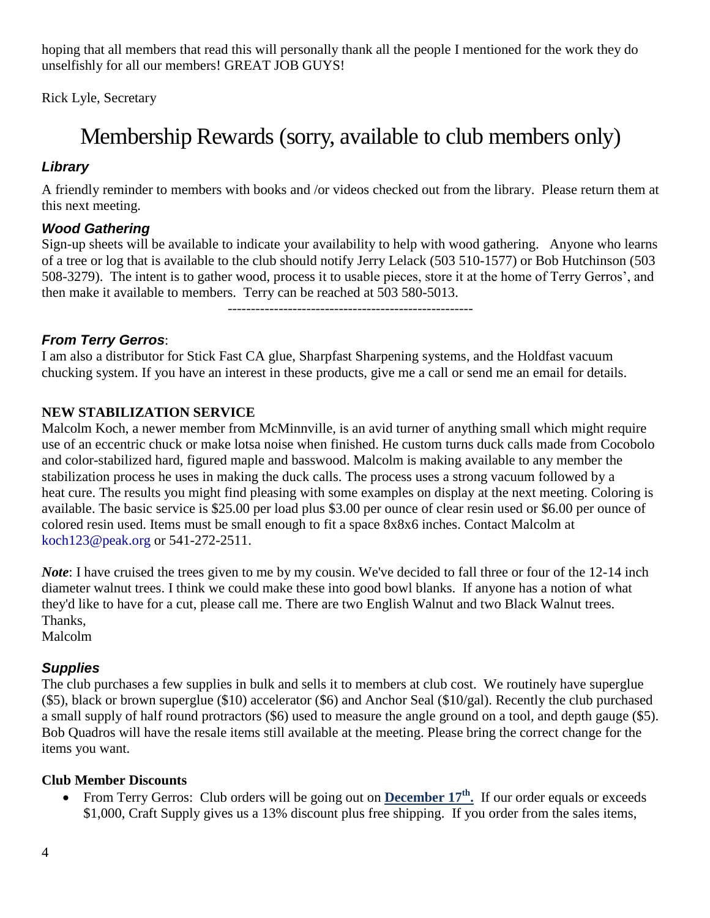hoping that all members that read this will personally thank all the people I mentioned for the work they do unselfishly for all our members! GREAT JOB GUYS!

Rick Lyle, Secretary

# Membership Rewards (sorry, available to club members only)

#### *Library*

A friendly reminder to members with books and /or videos checked out from the library. Please return them at this next meeting.

#### *Wood Gathering*

Sign-up sheets will be available to indicate your availability to help with wood gathering. Anyone who learns of a tree or log that is available to the club should notify Jerry Lelack (503 510-1577) or Bob Hutchinson (503 508-3279). The intent is to gather wood, process it to usable pieces, store it at the home of Terry Gerros', and then make it available to members. Terry can be reached at 503 580-5013.

-----------------------------------------------------

#### *From Terry Gerros*:

I am also a distributor for Stick Fast CA glue, Sharpfast Sharpening systems, and the Holdfast vacuum chucking system. If you have an interest in these products, give me a call or send me an email for details.

#### **NEW STABILIZATION SERVICE**

Malcolm Koch, a newer member from McMinnville, is an avid turner of anything small which might require use of an eccentric chuck or make lotsa noise when finished. He custom turns duck calls made from Cocobolo and color-stabilized hard, figured maple and basswood. Malcolm is making available to any member the stabilization process he uses in making the duck calls. The process uses a strong vacuum followed by a heat cure. The results you might find pleasing with some examples on display at the next meeting. Coloring is available. The basic service is \$25.00 per load plus \$3.00 per ounce of clear resin used or \$6.00 per ounce of colored resin used. Items must be small enough to fit a space 8x8x6 inches. Contact Malcolm at koch123@peak.org or 541-272-2511.

*Note*: I have cruised the trees given to me by my cousin. We've decided to fall three or four of the 12-14 inch diameter walnut trees. I think we could make these into good bowl blanks. If anyone has a notion of what they'd like to have for a cut, please call me. There are two English Walnut and two Black Walnut trees. Thanks,

Malcolm

#### *Supplies*

The club purchases a few supplies in bulk and sells it to members at club cost. We routinely have superglue (\$5), black or brown superglue (\$10) accelerator (\$6) and Anchor Seal (\$10/gal). Recently the club purchased a small supply of half round protractors (\$6) used to measure the angle ground on a tool, and depth gauge (\$5). Bob Quadros will have the resale items still available at the meeting. Please bring the correct change for the items you want.

#### **Club Member Discounts**

• From Terry Gerros: Club orders will be going out on **December 17<sup>th</sup>**. If our order equals or exceeds \$1,000, Craft Supply gives us a 13% discount plus free shipping. If you order from the sales items,